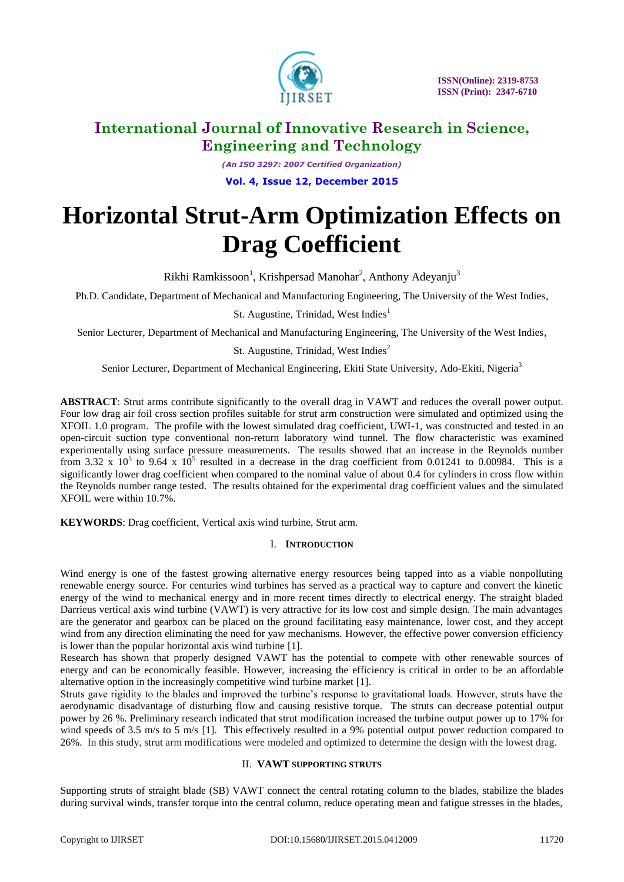

*(An ISO 3297: 2007 Certified Organization)* **Vol. 4, Issue 12, December 2015**

# **Horizontal Strut-Arm Optimization Effects on Drag Coefficient**

Rikhi Ramkissoon<sup>1</sup>, Krishpersad Manohar<sup>2</sup>, Anthony Adeyanju<sup>3</sup>

Ph.D. Candidate, Department of Mechanical and Manufacturing Engineering, The University of the West Indies,

St. Augustine, Trinidad, West Indies<sup>1</sup>

Senior Lecturer, Department of Mechanical and Manufacturing Engineering, The University of the West Indies,

St. Augustine, Trinidad, West Indies<sup>2</sup>

Senior Lecturer, Department of Mechanical Engineering, Ekiti State University, Ado-Ekiti, Nigeria<sup>3</sup>

**ABSTRACT**: Strut arms contribute significantly to the overall drag in VAWT and reduces the overall power output. Four low drag air foil cross section profiles suitable for strut arm construction were simulated and optimized using the XFOIL 1.0 program. The profile with the lowest simulated drag coefficient, UWI-1, was constructed and tested in an open-circuit suction type conventional non-return laboratory wind tunnel. The flow characteristic was examined experimentally using surface pressure measurements. The results showed that an increase in the Reynolds number from 3.32 x  $10^5$  to 9.64 x  $10^5$  resulted in a decrease in the drag coefficient from 0.01241 to 0.00984. This is a significantly lower drag coefficient when compared to the nominal value of about 0.4 for cylinders in cross flow within the Reynolds number range tested. The results obtained for the experimental drag coefficient values and the simulated XFOIL were within 10.7%.

**KEYWORDS**: Drag coefficient, Vertical axis wind turbine, Strut arm.

### I. **INTRODUCTION**

Wind energy is one of the fastest growing alternative energy resources being tapped into as a viable nonpolluting renewable energy source. For centuries wind turbines has served as a practical way to capture and convert the kinetic energy of the wind to mechanical energy and in more recent times directly to electrical energy. The straight bladed Darrieus vertical axis wind turbine (VAWT) is very attractive for its low cost and simple design. The main advantages are the generator and gearbox can be placed on the ground facilitating easy maintenance, lower cost, and they accept wind from any direction eliminating the need for yaw mechanisms. However, the effective power conversion efficiency is lower than the popular horizontal axis wind turbine [1].

Research has shown that properly designed VAWT has the potential to compete with other renewable sources of energy and can be economically feasible. However, increasing the efficiency is critical in order to be an affordable alternative option in the increasingly competitive wind turbine market [1].

Struts gave rigidity to the blades and improved the turbine's response to gravitational loads. However, struts have the aerodynamic disadvantage of disturbing flow and causing resistive torque. The struts can decrease potential output power by 26 %. Preliminary research indicated that strut modification increased the turbine output power up to 17% for wind speeds of 3.5 m/s to 5 m/s [1]. This effectively resulted in a 9% potential output power reduction compared to 26%. In this study, strut arm modifications were modeled and optimized to determine the design with the lowest drag.

#### II. **VAWT SUPPORTING STRUTS**

Supporting struts of straight blade (SB) VAWT connect the central rotating column to the blades, stabilize the blades during survival winds, transfer torque into the central column, reduce operating mean and fatigue stresses in the blades,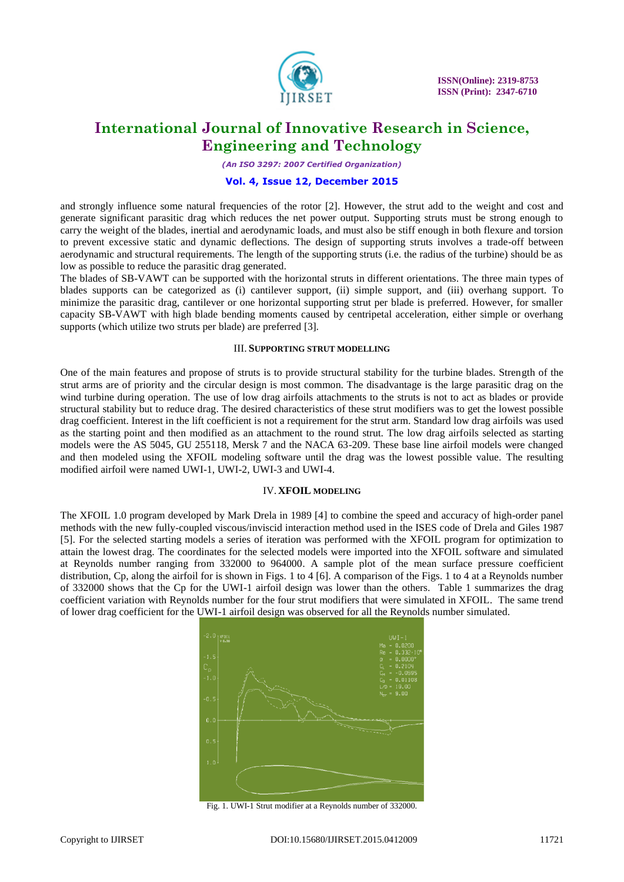

**ISSN(Online): 2319-8753 ISSN (Print): 2347-6710**

### **International Journal of Innovative Research in Science, Engineering and Technology**

*(An ISO 3297: 2007 Certified Organization)*

#### **Vol. 4, Issue 12, December 2015**

and strongly influence some natural frequencies of the rotor [2]. However, the strut add to the weight and cost and generate significant parasitic drag which reduces the net power output. Supporting struts must be strong enough to carry the weight of the blades, inertial and aerodynamic loads, and must also be stiff enough in both flexure and torsion to prevent excessive static and dynamic deflections. The design of supporting struts involves a trade-off between aerodynamic and structural requirements. The length of the supporting struts (i.e. the radius of the turbine) should be as low as possible to reduce the parasitic drag generated.

The blades of SB-VAWT can be supported with the horizontal struts in different orientations. The three main types of blades supports can be categorized as (i) cantilever support, (ii) simple support, and (iii) overhang support. To minimize the parasitic drag, cantilever or one horizontal supporting strut per blade is preferred. However, for smaller capacity SB-VAWT with high blade bending moments caused by centripetal acceleration, either simple or overhang supports (which utilize two struts per blade) are preferred [3].

#### III. **SUPPORTING STRUT MODELLING**

One of the main features and propose of struts is to provide structural stability for the turbine blades. Strength of the strut arms are of priority and the circular design is most common. The disadvantage is the large parasitic drag on the wind turbine during operation. The use of low drag airfoils attachments to the struts is not to act as blades or provide structural stability but to reduce drag. The desired characteristics of these strut modifiers was to get the lowest possible drag coefficient. Interest in the lift coefficient is not a requirement for the strut arm. Standard low drag airfoils was used as the starting point and then modified as an attachment to the round strut. The low drag airfoils selected as starting models were the AS 5045, GU 255118, Mersk 7 and the NACA 63-209. These base line airfoil models were changed and then modeled using the XFOIL modeling software until the drag was the lowest possible value. The resulting modified airfoil were named UWI-1, UWI-2, UWI-3 and UWI-4.

#### IV.**XFOIL MODELING**

The XFOIL 1.0 program developed by Mark Drela in 1989 [4] to combine the speed and accuracy of high-order panel methods with the new fully-coupled viscous/inviscid interaction method used in the ISES code of Drela and Giles 1987 [5]. For the selected starting models a series of iteration was performed with the XFOIL program for optimization to attain the lowest drag. The coordinates for the selected models were imported into the XFOIL software and simulated at Reynolds number ranging from 332000 to 964000. A sample plot of the mean surface pressure coefficient distribution, Cp, along the airfoil for is shown in Figs. 1 to 4 [6]. A comparison of the Figs. 1 to 4 at a Reynolds number of 332000 shows that the Cp for the UWI-1 airfoil design was lower than the others. Table 1 summarizes the drag coefficient variation with Reynolds number for the four strut modifiers that were simulated in XFOIL. The same trend of lower drag coefficient for the UWI-1 airfoil design was observed for all the Reynolds number simulated.



Fig. 1. UWI-1 Strut modifier at a Reynolds number of 332000.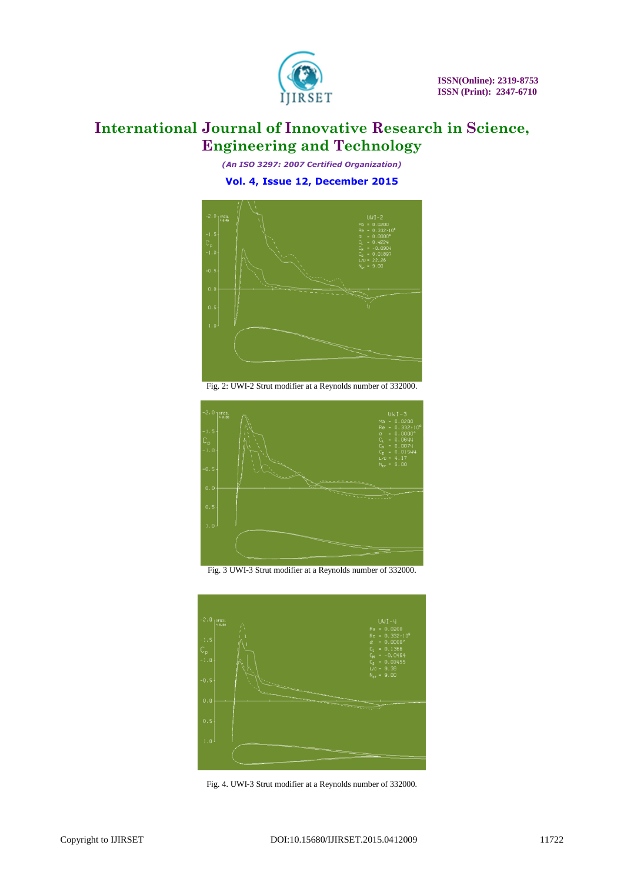

*(An ISO 3297: 2007 Certified Organization)* **Vol. 4, Issue 12, December 2015**



Fig. 2: UWI-2 Strut modifier at a Reynolds number of 332000.



Fig. 3 UWI-3 Strut modifier at a Reynolds number of 332000.



Fig. 4. UWI-3 Strut modifier at a Reynolds number of 332000.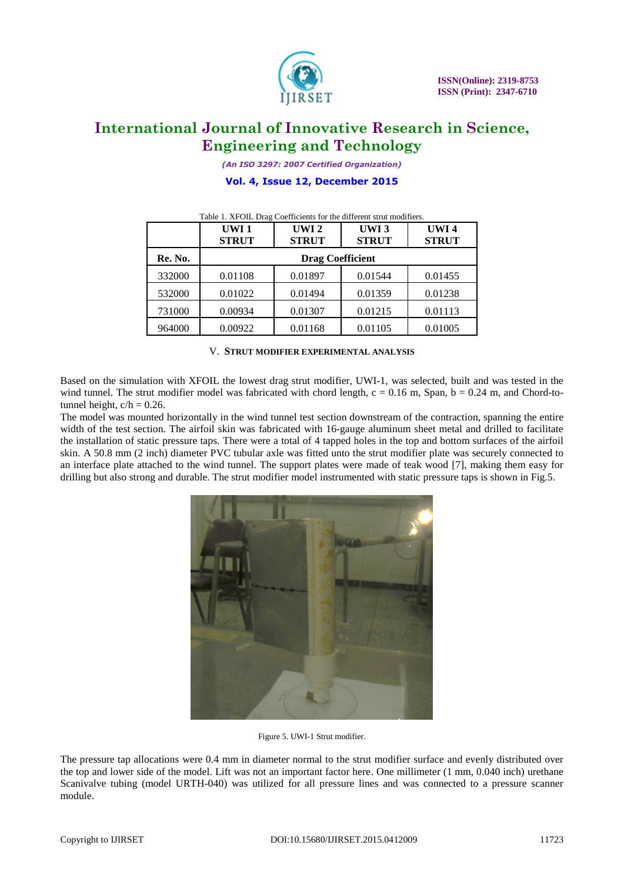

*(An ISO 3297: 2007 Certified Organization)*

#### **Vol. 4, Issue 12, December 2015**

|         | UWI <sub>1</sub><br><b>STRUT</b> | UWI <sub>2</sub><br><b>STRUT</b> | UWI <sub>3</sub><br><b>STRUT</b> | UWI4<br><b>STRUT</b> |
|---------|----------------------------------|----------------------------------|----------------------------------|----------------------|
| Re. No. | <b>Drag Coefficient</b>          |                                  |                                  |                      |
| 332000  | 0.01108                          | 0.01897                          | 0.01544                          | 0.01455              |
| 532000  | 0.01022                          | 0.01494                          | 0.01359                          | 0.01238              |
| 731000  | 0.00934                          | 0.01307                          | 0.01215                          | 0.01113              |
| 964000  | 0.00922                          | 0.01168                          | 0.01105                          | 0.01005              |

#### Table 1. XFOIL Drag Coefficients for the different strut modifiers.

#### V. **STRUT MODIFIER EXPERIMENTAL ANALYSIS**

Based on the simulation with XFOIL the lowest drag strut modifier, UWI-1, was selected, built and was tested in the wind tunnel. The strut modifier model was fabricated with chord length,  $c = 0.16$  m, Span,  $b = 0.24$  m, and Chord-totunnel height,  $c/h = 0.26$ .

The model was mounted horizontally in the wind tunnel test section downstream of the contraction, spanning the entire width of the test section. The airfoil skin was fabricated with 16-gauge aluminum sheet metal and drilled to facilitate the installation of static pressure taps. There were a total of 4 tapped holes in the top and bottom surfaces of the airfoil skin. A 50.8 mm (2 inch) diameter PVC tubular axle was fitted unto the strut modifier plate was securely connected to an interface plate attached to the wind tunnel. The support plates were made of teak wood [7], making them easy for drilling but also strong and durable. The strut modifier model instrumented with static pressure taps is shown in Fig.5.



Figure 5. UWI-1 Strut modifier.

The pressure tap allocations were 0.4 mm in diameter normal to the strut modifier surface and evenly distributed over the top and lower side of the model. Lift was not an important factor here. One millimeter (1 mm, 0.040 inch) urethane Scanivalve tubing (model URTH-040) was utilized for all pressure lines and was connected to a pressure scanner module.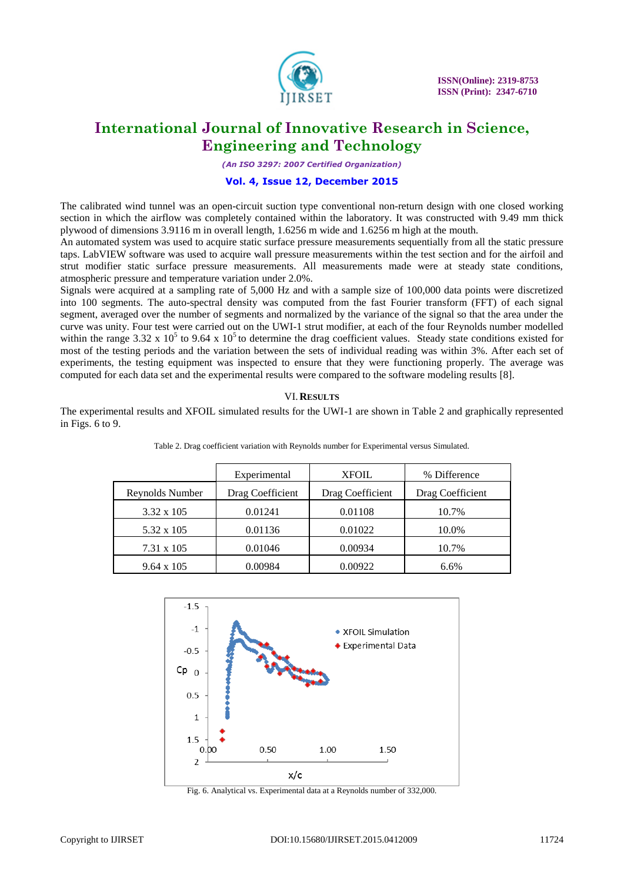

*(An ISO 3297: 2007 Certified Organization)*

#### **Vol. 4, Issue 12, December 2015**

The calibrated wind tunnel was an open-circuit suction type conventional non-return design with one closed working section in which the airflow was completely contained within the laboratory. It was constructed with 9.49 mm thick plywood of dimensions 3.9116 m in overall length, 1.6256 m wide and 1.6256 m high at the mouth.

An automated system was used to acquire static surface pressure measurements sequentially from all the static pressure taps. LabVIEW software was used to acquire wall pressure measurements within the test section and for the airfoil and strut modifier static surface pressure measurements. All measurements made were at steady state conditions, atmospheric pressure and temperature variation under 2.0%.

Signals were acquired at a sampling rate of 5,000 Hz and with a sample size of 100,000 data points were discretized into 100 segments. The auto-spectral density was computed from the fast Fourier transform (FFT) of each signal segment, averaged over the number of segments and normalized by the variance of the signal so that the area under the curve was unity. Four test were carried out on the UWI-1 strut modifier, at each of the four Reynolds number modelled within the range 3.32 x  $10^5$  to 9.64 x  $10^5$  to determine the drag coefficient values. Steady state conditions existed for most of the testing periods and the variation between the sets of individual reading was within 3%. After each set of experiments, the testing equipment was inspected to ensure that they were functioning properly. The average was computed for each data set and the experimental results were compared to the software modeling results [8].

#### VI.**RESULTS**

The experimental results and XFOIL simulated results for the UWI-1 are shown in Table 2 and graphically represented in Figs. 6 to 9.

|                   | Experimental     | <b>XFOIL</b>     | % Difference     |
|-------------------|------------------|------------------|------------------|
| Reynolds Number   | Drag Coefficient | Drag Coefficient | Drag Coefficient |
| $3.32 \times 105$ | 0.01241          | 0.01108          | 10.7%            |
| 5.32 x 105        | 0.01136          | 0.01022          | 10.0%            |
| 7.31 x 105        | 0.01046          | 0.00934          | 10.7%            |
| $9.64 \times 105$ | 0.00984          | 0.00922          | 6.6%             |

Table 2. Drag coefficient variation with Reynolds number for Experimental versus Simulated.



Fig. 6. Analytical vs. Experimental data at a Reynolds number of 332,000.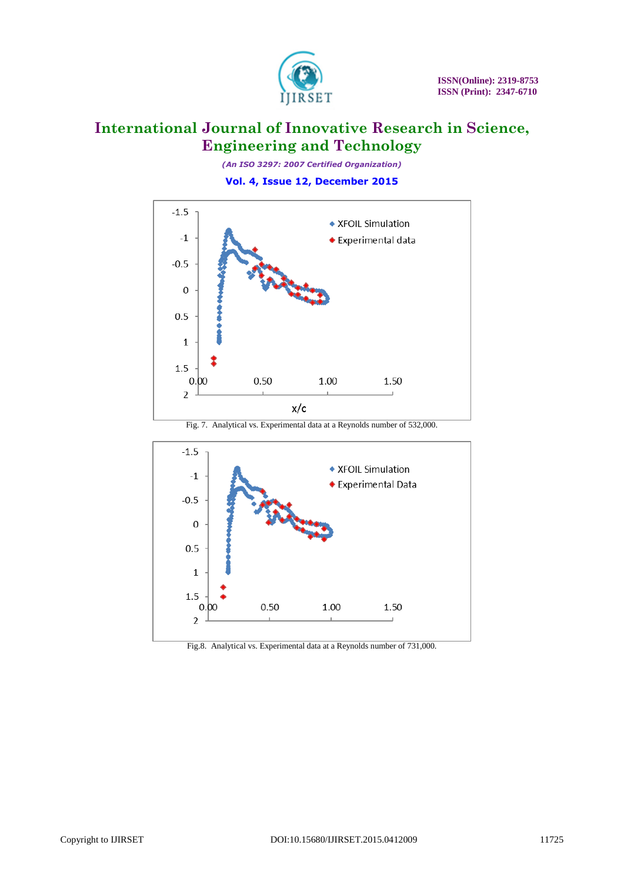

*(An ISO 3297: 2007 Certified Organization)*

**Vol. 4, Issue 12, December 2015**



Fig. 7. Analytical vs. Experimental data at a Reynolds number of 532,000.



Fig.8. Analytical vs. Experimental data at a Reynolds number of 731,000.